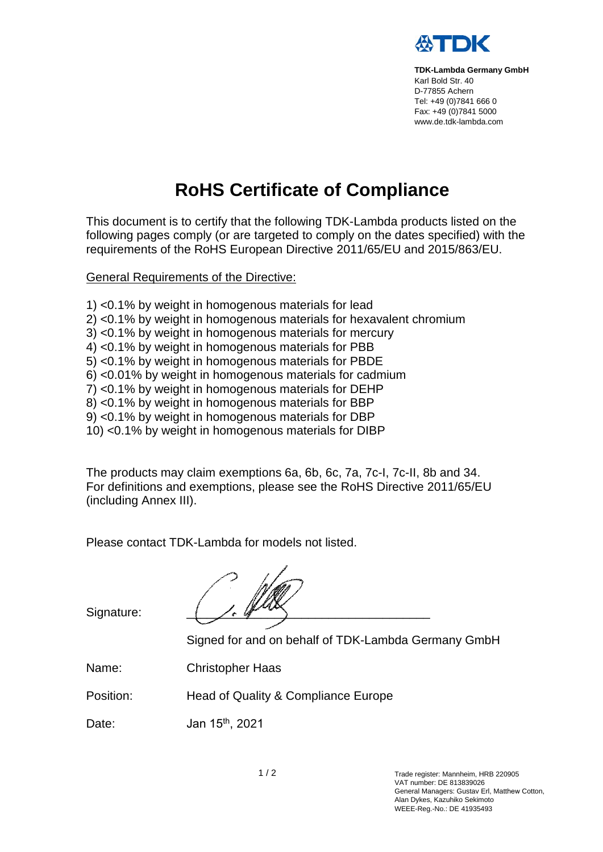

**TDK-Lambda Germany GmbH** Karl Bold Str. 40 D-77855 Achern Tel: +49 (0)7841 666 0 Fax: +49 (0)7841 5000 www.de.tdk-lambda.com

## **RoHS Certificate of Compliance**

This document is to certify that the following TDK-Lambda products listed on the following pages comply (or are targeted to comply on the dates specified) with the requirements of the RoHS European Directive 2011/65/EU and 2015/863/EU.

General Requirements of the Directive:

- 1) <0.1% by weight in homogenous materials for lead
- 2) <0.1% by weight in homogenous materials for hexavalent chromium
- 3) <0.1% by weight in homogenous materials for mercury
- 4) <0.1% by weight in homogenous materials for PBB
- 5) <0.1% by weight in homogenous materials for PBDE
- 6) <0.01% by weight in homogenous materials for cadmium
- 7) <0.1% by weight in homogenous materials for DEHP
- 8) <0.1% by weight in homogenous materials for BBP
- 9) <0.1% by weight in homogenous materials for DBP
- 10) <0.1% by weight in homogenous materials for DIBP

The products may claim exemptions 6a, 6b, 6c, 7a, 7c-I, 7c-II, 8b and 34. For definitions and exemptions, please see the RoHS Directive 2011/65/EU (including Annex III).

Please contact TDK-Lambda for models not listed.

 $\left(\frac{1}{2}, \frac{1}{2}, \frac{1}{2}\right)$ 

Signature:

Signed for and on behalf of TDK-Lambda Germany GmbH

Name: Christopher Haas

Position: Head of Quality & Compliance Europe

Date: Jan 15th , 2021